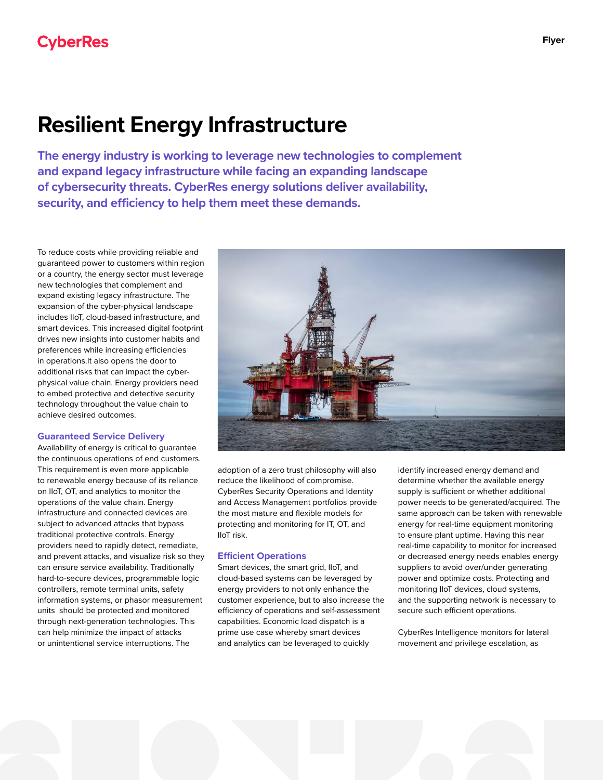# **Resilient Energy Infrastructure**

**The energy industry is working to leverage new technologies to complement and expand legacy infrastructure while facing an expanding landscape of cybersecurity threats. CyberRes energy solutions deliver availability, security, and efficiency to help them meet these demands.**

To reduce costs while providing reliable and guaranteed power to customers within region or a country, the energy sector must leverage new technologies that complement and expand existing legacy infrastructure. The expansion of the cyber-physical landscape includes IIoT, cloud-based infrastructure, and smart devices. This increased digital footprint drives new insights into customer habits and preferences while increasing efficiencies in operations.It also opens the door to additional risks that can impact the cyberphysical value chain. Energy providers need to embed protective and detective security technology throughout the value chain to achieve desired outcomes.

## **Guaranteed Service Delivery**

Availability of energy is critical to guarantee the continuous operations of end customers. This requirement is even more applicable to renewable energy because of its reliance on IIoT, OT, and analytics to monitor the operations of the value chain. Energy infrastructure and connected devices are subject to advanced attacks that bypass traditional protective controls. Energy providers need to rapidly detect, remediate, and prevent attacks, and visualize risk so they can ensure service availability. Traditionally hard-to-secure devices, programmable logic controllers, remote terminal units, safety information systems, or phasor measurement units should be protected and monitored through next-generation technologies. This can help minimize the impact of attacks or unintentional service interruptions. The



adoption of a zero trust philosophy will also reduce the likelihood of compromise. CyberRes Security Operations and Identity and Access Management portfolios provide the most mature and flexible models for protecting and monitoring for IT, OT, and IIoT risk.

#### **Efficient Operations**

Smart devices, the smart grid, IIoT, and cloud-based systems can be leveraged by energy providers to not only enhance the customer experience, but to also increase the efficiency of operations and self-assessment capabilities. Economic load dispatch is a prime use case whereby smart devices and analytics can be leveraged to quickly

identify increased energy demand and determine whether the available energy supply is sufficient or whether additional power needs to be generated/acquired. The same approach can be taken with renewable energy for real-time equipment monitoring to ensure plant uptime. Having this near real-time capability to monitor for increased or decreased energy needs enables energy suppliers to avoid over/under generating power and optimize costs. Protecting and monitoring IIoT devices, cloud systems, and the supporting network is necessary to secure such efficient operations.

CyberRes Intelligence monitors for lateral movement and privilege escalation, as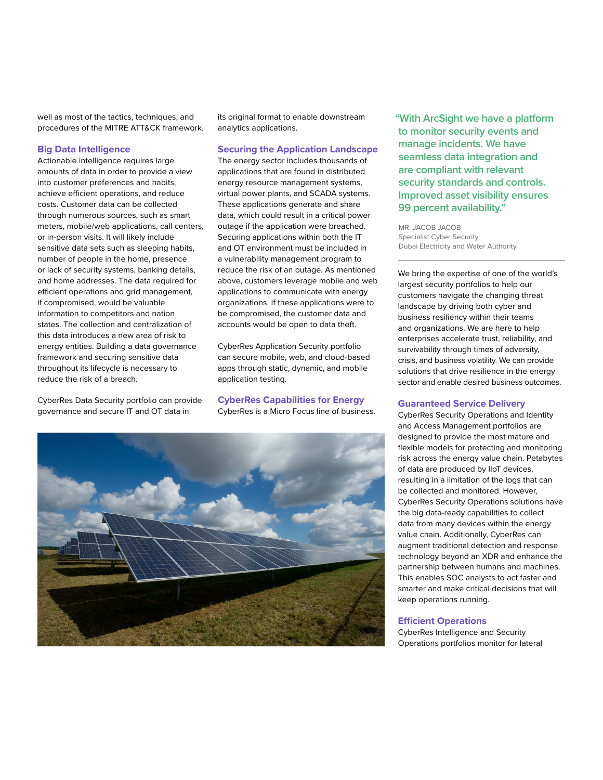well as most of the tactics, techniques, and procedures of the MITRE ATT&CK framework.

### **Big Data Intelligence**

Actionable intelligence requires large amounts of data in order to provide a view into customer preferences and habits, achieve efficient operations, and reduce costs. Customer data can be collected through numerous sources, such as smart meters, mobile/web applications, call centers, or in-person visits. It will likely include sensitive data sets such as sleeping habits, number of people in the home, presence or lack of security systems, banking details, and home addresses. The data required for efficient operations and grid management, if compromised, would be valuable information to competitors and nation states. The collection and centralization of this data introduces a new area of risk to energy entities. Building a data governance framework and securing sensitive data throughout its lifecycle is necessary to reduce the risk of a breach.

CyberRes Data Security portfolio can provide governance and secure IT and OT data in

its original format to enable downstream analytics applications.

#### **Securing the Application Landscape**

The energy sector includes thousands of applications that are found in distributed energy resource management systems, virtual power plants, and SCADA systems. These applications generate and share data, which could result in a critical power outage if the application were breached. Securing applications within both the IT and OT environment must be included in a vulnerability management program to reduce the risk of an outage. As mentioned above, customers leverage mobile and web applications to communicate with energy organizations. If these applications were to be compromised, the customer data and accounts would be open to data theft.

CyberRes Application Security portfolio can secure mobile, web, and cloud-based apps through static, dynamic, and mobile application testing.

**CyberRes Capabilities for Energy** CyberRes is a Micro Focus line of business.



**"With ArcSight we have a platform to monitor security events and manage incidents. We have seamless data integration and are compliant with relevant security standards and controls. Improved asset visibility ensures 99 percent availability."** 

MR. JACOB JACOB Specialist Cyber Security Dubai Electricity and Water Authority

We bring the expertise of one of the world's largest security portfolios to help our customers navigate the changing threat landscape by driving both cyber and business resiliency within their teams and organizations. We are here to help enterprises accelerate trust, reliability, and survivability through times of adversity, crisis, and business volatility. We can provide solutions that drive resilience in the energy sector and enable desired business outcomes.

#### **Guaranteed Service Delivery**

CyberRes Security Operations and Identity and Access Management portfolios are designed to provide the most mature and flexible models for protecting and monitoring risk across the energy value chain. Petabytes of data are produced by IIoT devices, resulting in a limitation of the logs that can be collected and monitored. However, CyberRes Security Operations solutions have the big data-ready capabilities to collect data from many devices within the energy value chain. Additionally, CyberRes can augment traditional detection and response technology beyond an XDR and enhance the partnership between humans and machines. This enables SOC analysts to act faster and smarter and make critical decisions that will keep operations running.

#### **Efficient Operations**

CyberRes Intelligence and Security Operations portfolios monitor for lateral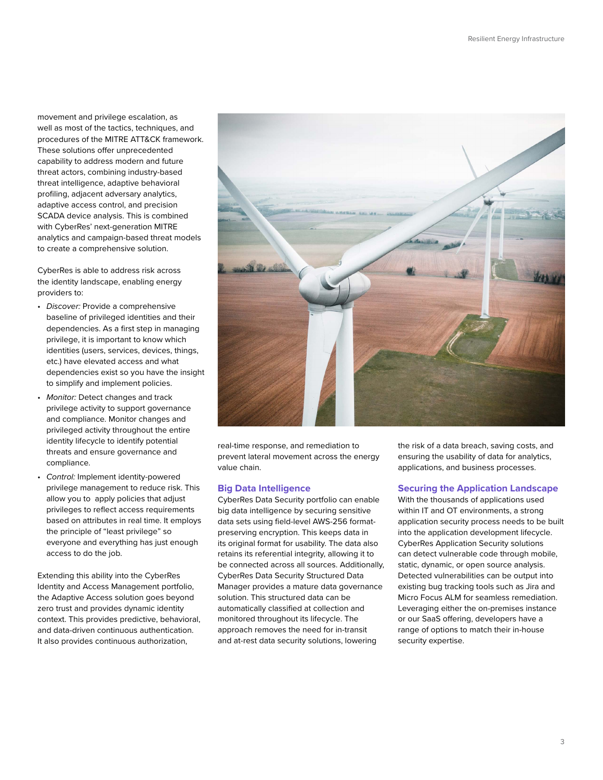movement and privilege escalation, as well as most of the tactics, techniques, and procedures of the MITRE ATT&CK framework. These solutions offer unprecedented capability to address modern and future threat actors, combining industry-based threat intelligence, adaptive behavioral profiling, adjacent adversary analytics, adaptive access control, and precision SCADA device analysis. This is combined with CyberRes' next-generation MITRE analytics and campaign-based threat models to create a comprehensive solution.

CyberRes is able to address risk across the identity landscape, enabling energy providers to:

- *Discover:* Provide a comprehensive baseline of privileged identities and their dependencies. As a first step in managing privilege, it is important to know which identities (users, services, devices, things, etc.) have elevated access and what dependencies exist so you have the insight to simplify and implement policies.
- *Monitor:* Detect changes and track privilege activity to support governance and compliance. Monitor changes and privileged activity throughout the entire identity lifecycle to identify potential threats and ensure governance and compliance.
- *Control:* Implement identity-powered privilege management to reduce risk. This allow you to apply policies that adjust privileges to reflect access requirements based on attributes in real time. It employs the principle of "least privilege" so everyone and everything has just enough access to do the job.

Extending this ability into the CyberRes Identity and Access Management portfolio, the Adaptive Access solution goes beyond zero trust and provides dynamic identity context. This provides predictive, behavioral, and data-driven continuous authentication. It also provides continuous authorization,



real-time response, and remediation to prevent lateral movement across the energy value chain.

#### **Big Data Intelligence**

CyberRes Data Security portfolio can enable big data intelligence by securing sensitive data sets using field-level AWS-256 formatpreserving encryption. This keeps data in its original format for usability. The data also retains its referential integrity, allowing it to be connected across all sources. Additionally, CyberRes Data Security Structured Data Manager provides a mature data governance solution. This structured data can be automatically classified at collection and monitored throughout its lifecycle. The approach removes the need for in-transit and at-rest data security solutions, lowering

the risk of a data breach, saving costs, and ensuring the usability of data for analytics, applications, and business processes.

#### **Securing the Application Landscape**

With the thousands of applications used within IT and OT environments, a strong application security process needs to be built into the application development lifecycle. CyberRes Application Security solutions can detect vulnerable code through mobile, static, dynamic, or open source analysis. Detected vulnerabilities can be output into existing bug tracking tools such as Jira and Micro Focus ALM for seamless remediation. Leveraging either the on-premises instance or our SaaS offering, developers have a range of options to match their in-house security expertise.